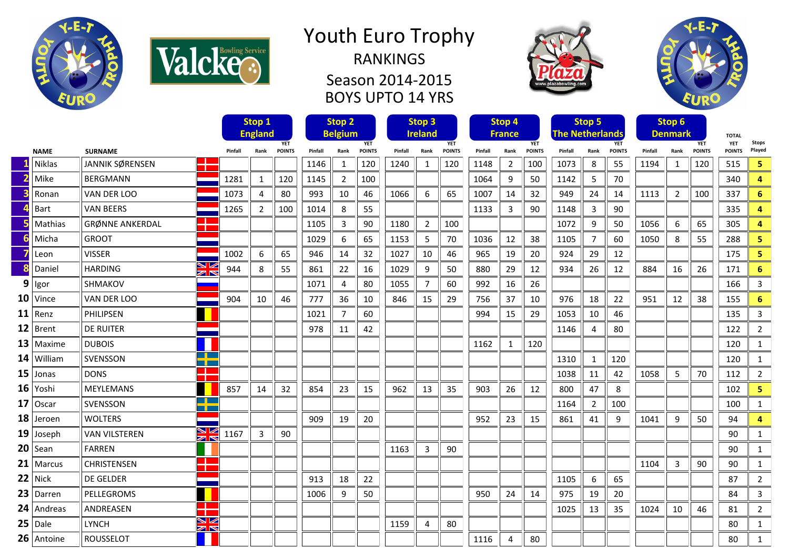



## Youth Euro Trophy RANKINGS Season 2014-2015 BOYS UPTO 14 YRS





|   |               |                                               |         | Stop 1         |               |         | Stop <sub>2</sub> |               | Stop <sub>3</sub> |                |               | Stop 4  |               |               |                        | Stop 5 |               |         | Stop 6         |               |                            |                |
|---|---------------|-----------------------------------------------|---------|----------------|---------------|---------|-------------------|---------------|-------------------|----------------|---------------|---------|---------------|---------------|------------------------|--------|---------------|---------|----------------|---------------|----------------------------|----------------|
|   |               |                                               |         | <b>England</b> | <b>YET</b>    |         | <b>Belgium</b>    | <b>YET</b>    |                   | <b>Ireland</b> | <b>YET</b>    |         | <b>France</b> | <b>YET</b>    | <b>The Netherlands</b> |        | <b>YET</b>    |         | <b>Denmark</b> | <b>YET</b>    | <b>TOTAL</b><br><b>YET</b> | <b>Stops</b>   |
|   | <b>NAME</b>   | <b>SURNAME</b>                                | Pinfall | Rank           | <b>POINTS</b> | Pinfall | Rank              | <b>POINTS</b> | Pinfall           | Rank           | <b>POINTS</b> | Pinfall | Rank          | <b>POINTS</b> | Pinfall                | Rank   | <b>POINTS</b> | Pinfall | Rank           | <b>POINTS</b> | <b>POINTS</b>              | Played         |
|   | <b>Niklas</b> | JANNIK SØRENSEN                               |         |                |               | 1146    | $\mathbf{1}$      | 120           | 1240              | 1              | 120           | 1148    | 2             | 100           | 1073                   | 8      | 55            | 1194    | 1              | 120           | 515                        | 5              |
|   | Mike          | <b>BERGMANN</b>                               | 1281    | 1              | 120           | 1145    | 2                 | 100           |                   |                |               | 1064    | 9             | 50            | 1142                   | 5      | 70            |         |                |               | 340                        | 4              |
|   | Ronan         | VAN DER LOO                                   | 1073    | 4              | 80            | 993     | 10                | 46            | 1066              | 6              | 65            | 1007    | 14            | 32            | 949                    | 24     | 14            | 1113    | 2              | 100           | 337                        | 6              |
|   | Bart          | <b>VAN BEERS</b>                              | 1265    | 2              | 100           | 1014    | 8                 | 55            |                   |                |               | 1133    | 3             | 90            | 1148                   | 3      | 90            |         |                |               | 335                        | 4              |
|   | Mathias       | <b>GRØNNE ANKERDAL</b>                        |         |                |               | 1105    | 3                 | 90            | 1180              | $\overline{2}$ | 100           |         |               |               | 1072                   | 9      | 50            | 1056    | 6              | 65            | 305                        | 4              |
|   | Micha         | <b>GROOT</b>                                  |         |                |               | 1029    | 6                 | 65            | 1153              | 5              | 70            | 1036    | 12            | 38            | 1105                   | 7      | 60            | 1050    | 8              | 55            | 288                        | 5.             |
|   | Leon          | <b>VISSER</b>                                 | 1002    | 6              | 65            | 946     | 14                | 32            | 1027              | 10             | 46            | 965     | 19            | 20            | 924                    | 29     | 12            |         |                |               | 175                        | 5              |
|   | Daniel        | ↘∠<br><b>HARDING</b><br>$\geq$                | 944     | 8              | 55            | 861     | 22                | 16            | 1029              | 9              | 50            | 880     | 29            | 12            | 934                    | 26     | 12            | 884     | 16             | 26            | 171                        | 6              |
| 9 | Igor          | SHMAKOV                                       |         |                |               | 1071    | 4                 | 80            | 1055              | 7              | 60            | 992     | 16            | 26            |                        |        |               |         |                |               | 166                        | 3              |
|   | $10$ Vince    | VAN DER LOO                                   | 904     | 10             | 46            | 777     | 36                | 10            | 846               | 15             | 29            | 756     | 37            | 10            | 976                    | 18     | 22            | 951     | 12             | 38            | 155                        | 6              |
|   | $11$ Renz     | PHILIPSEN                                     |         |                |               | 1021    | $\overline{7}$    | 60            |                   |                |               | 994     | 15            | 29            | 1053                   | 10     | 46            |         |                |               | 135                        | 3              |
|   | $12$ Brent    | <b>DE RUITER</b>                              |         |                |               | 978     | 11                | 42            |                   |                |               |         |               |               | 1146                   | 4      | 80            |         |                |               | 122                        | $\overline{2}$ |
|   | $13$   Maxime | <b>DUBOIS</b>                                 |         |                |               |         |                   |               |                   |                |               | 1162    | $\mathbf{1}$  | 120           |                        |        |               |         |                |               | 120                        | $\mathbf{1}$   |
|   | $14$ William  | an ka<br>SVENSSON<br>n pr                     |         |                |               |         |                   |               |                   |                |               |         |               |               | 1310                   | 1      | 120           |         |                |               | 120                        | 1              |
|   | $15$ Jonas    | n Brit<br><b>DONS</b>                         |         |                |               |         |                   |               |                   |                |               |         |               |               | 1038                   | 11     | 42            | 1058    | 5              | 70            | 112                        | $\overline{2}$ |
|   | $16$ Yoshi    | <b>MEYLEMANS</b>                              | 857     | 14             | 32            | 854     | 23                | 15            | 962               | 13             | 35            | 903     | 26            | 12            | 800                    | 47     | 8             |         |                |               | 102                        | 5              |
|   | 17 Oscar      | <u>a p</u><br><b>SVENSSON</b><br>T            |         |                |               |         |                   |               |                   |                |               |         |               |               | 1164                   | 2      | 100           |         |                |               | 100                        | $\mathbf{1}$   |
|   | $18$ Jeroen   | <b>WOLTERS</b>                                |         |                |               | 909     | 19                | 20            |                   |                |               | 952     | 23            | 15            | 861                    | 41     | 9             | 1041    | 9              | 50            | 94                         | 4              |
|   | $19$ Joseph   | 8Ø<br><b>VAN VILSTEREN</b><br>$\geq$          | 1167    | 3              | 90            |         |                   |               |                   |                |               |         |               |               |                        |        |               |         |                |               | 90                         | $\mathbf{1}$   |
|   | $20$ Sean     | <b>FARREN</b>                                 |         |                |               |         |                   |               | 1163              | 3              | 90            |         |               |               |                        |        |               |         |                |               | 90                         | $\mathbf{1}$   |
|   | 21   Marcus   | <b>The Co</b><br><b>CHRISTENSEN</b><br>┓      |         |                |               |         |                   |               |                   |                |               |         |               |               |                        |        |               | 1104    | 3              | 90            | 90                         | $\mathbf{1}$   |
|   | $22$ Nick     | <b>DE GELDER</b>                              |         |                |               | 913     | 18                | 22            |                   |                |               |         |               |               | 1105                   | 6      | 65            |         |                |               | 87                         | $\overline{2}$ |
|   | $23$ Darren   | PELLEGROMS                                    |         |                |               | 1006    | 9                 | 50            |                   |                |               | 950     | 24            | 14            | 975                    | 19     | 20            |         |                |               | 84                         | 3              |
|   | $24$ Andreas  | ANDREASEN                                     |         |                |               |         |                   |               |                   |                |               |         |               |               | 1025                   | 13     | 35            | 1024    | 10             | 46            | 81                         | $\overline{2}$ |
|   | $25$ Dale     | VZ<br><b>LYNCH</b><br>$\mathbb{Z} \mathbb{N}$ |         |                |               |         |                   |               | 1159              | 4              | 80            |         |               |               |                        |        |               |         |                |               | 80                         | $\mathbf{1}$   |
|   | $26$ Antoine  | <b>ROUSSELOT</b>                              |         |                |               |         |                   |               |                   |                |               | 1116    | 4             | 80            |                        |        |               |         |                |               | 80                         | $\mathbf{1}$   |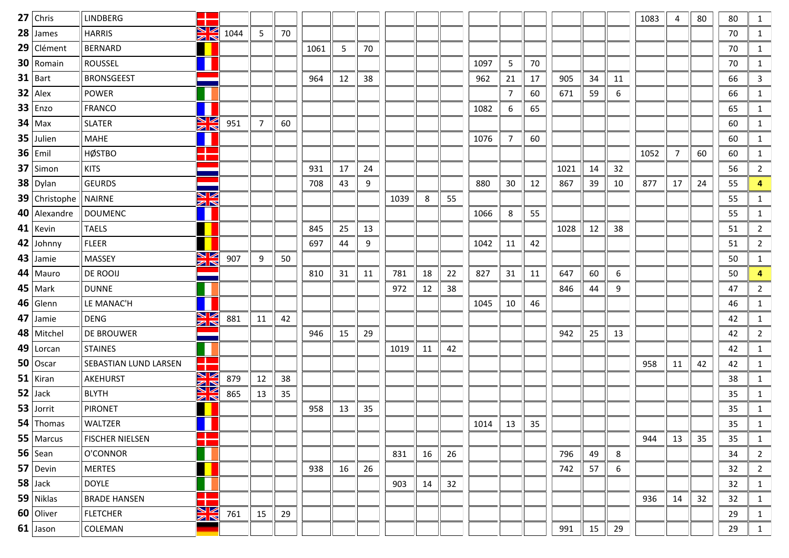| $27$ Chris           | <b>LINDBERG</b>        |                     |      |    |    |      |    |    |      |    |    |      |    |    |      |    |    | 1083 | 4  | 80 | 80 | 1              |
|----------------------|------------------------|---------------------|------|----|----|------|----|----|------|----|----|------|----|----|------|----|----|------|----|----|----|----------------|
| $28$ James           | <b>HARRIS</b>          | ↘☑<br>$\mathbb{Z}$  | 1044 | 5  | 70 |      |    |    |      |    |    |      |    |    |      |    |    |      |    |    | 70 | 1              |
| 29 Clément           | <b>BERNARD</b>         |                     |      |    |    | 1061 | 5  | 70 |      |    |    |      |    |    |      |    |    |      |    |    | 70 | 1              |
| 30 Romain            | <b>ROUSSEL</b>         |                     |      |    |    |      |    |    |      |    |    | 1097 | 5  | 70 |      |    |    |      |    |    | 70 | 1              |
| $31$ Bart            | <b>BRONSGEEST</b>      |                     |      |    |    | 964  | 12 | 38 |      |    |    | 962  | 21 | 17 | 905  | 34 | 11 |      |    |    | 66 | $\mathbf{3}$   |
| $32$   Alex          | <b>POWER</b>           |                     |      |    |    |      |    |    |      |    |    |      | 7  | 60 | 671  | 59 | 6  |      |    |    | 66 | 1              |
| $33$   Enzo          | <b>FRANCO</b>          |                     |      |    |    |      |    |    |      |    |    | 1082 | 6  | 65 |      |    |    |      |    |    | 65 | 1              |
| $34$ Max             | <b>SLATER</b>          | N<br>Ak             | 951  | 7  | 60 |      |    |    |      |    |    |      |    |    |      |    |    |      |    |    | 60 | 1              |
| $35$ Julien          | <b>MAHE</b>            |                     |      |    |    |      |    |    |      |    |    | 1076 | 7  | 60 |      |    |    |      |    |    | 60 | 1              |
| $36$ Emil            | <b>HØSTBO</b>          | a pr<br>- 1         |      |    |    |      |    |    |      |    |    |      |    |    |      |    |    | 1052 | 7  | 60 | 60 | 1              |
| $37$ Simon           | <b>KITS</b>            | --                  |      |    |    | 931  | 17 | 24 |      |    |    |      |    |    | 1021 | 14 | 32 |      |    |    | 56 | $\overline{2}$ |
| $38$ Dylan           | <b>GEURDS</b>          |                     |      |    |    | 708  | 43 | 9  |      |    |    | 880  | 30 | 12 | 867  | 39 | 10 | 877  | 17 | 24 | 55 | 4              |
| <b>39</b> Christophe | <b>NAIRNE</b>          | V<br>$\blacksquare$ |      |    |    |      |    |    | 1039 | 8  | 55 |      |    |    |      |    |    |      |    |    | 55 | 1              |
| 40 Alexandre         | <b>DOUMENC</b>         |                     |      |    |    |      |    |    |      |    |    | 1066 | 8  | 55 |      |    |    |      |    |    | 55 | 1              |
| $41$   Kevin         | <b>TAELS</b>           |                     |      |    |    | 845  | 25 | 13 |      |    |    |      |    |    | 1028 | 12 | 38 |      |    |    | 51 | $\overline{2}$ |
| 42 Johnny            | <b>FLEER</b>           |                     |      |    |    | 697  | 44 | 9  |      |    |    | 1042 | 11 | 42 |      |    |    |      |    |    | 51 | $\overline{2}$ |
| $43$ Jamie           | MASSEY                 | $\frac{N}{4}$       | 907  | 9  | 50 |      |    |    |      |    |    |      |    |    |      |    |    |      |    |    | 50 | $\mathbf{1}$   |
| $44$   Mauro         | DE ROOIJ               |                     |      |    |    | 810  | 31 | 11 | 781  | 18 | 22 | 827  | 31 | 11 | 647  | 60 | 6  |      |    |    | 50 | 4              |
| $45$ Mark            | <b>DUNNE</b>           |                     |      |    |    |      |    |    | 972  | 12 | 38 |      |    |    | 846  | 44 | 9  |      |    |    | 47 | $\overline{2}$ |
| $46$ Glenn           | LE MANAC'H             |                     |      |    |    |      |    |    |      |    |    | 1045 | 10 | 46 |      |    |    |      |    |    | 46 | 1              |
| $47$ Jamie           | <b>DENG</b>            | N<br>M              | 881  | 11 | 42 |      |    |    |      |    |    |      |    |    |      |    |    |      |    |    | 42 | 1              |
| 48   Mitchel         | DE BROUWER             |                     |      |    |    | 946  | 15 | 29 |      |    |    |      |    |    | 942  | 25 | 13 |      |    |    | 42 | 2              |
| $49$   Lorcan        | <b>STAINES</b>         |                     |      |    |    |      |    |    | 1019 | 11 | 42 |      |    |    |      |    |    |      |    |    | 42 | $\mathbf{1}$   |
| $50$   Oscar         | SEBASTIAN LUND LARSEN  | - 11                |      |    |    |      |    |    |      |    |    |      |    |    |      |    |    | 958  | 11 | 42 | 42 | 1              |
| $51$ Kiran           | AKEHURST               | ▧<br>$\geq$         | 879  | 12 | 38 |      |    |    |      |    |    |      |    |    |      |    |    |      |    |    | 38 | 1              |
| $52$ Jack            | <b>BLYTH</b>           | N K                 | 865  | 13 | 35 |      |    |    |      |    |    |      |    |    |      |    |    |      |    |    | 35 | $\mathbf{1}$   |
| $53$ Jorrit          | <b>PIRONET</b>         |                     |      |    |    | 958  | 13 | 35 |      |    |    |      |    |    |      |    |    |      |    |    | 35 | $\mathbf{1}$   |
| $54$ Thomas          | WALTZER                |                     |      |    |    |      |    |    |      |    |    | 1014 | 13 | 35 |      |    |    |      |    |    | 35 | $\mathbf{1}$   |
| $55$ Marcus          | <b>FISCHER NIELSEN</b> | $\mathbf{r}$<br>т   |      |    |    |      |    |    |      |    |    |      |    |    |      |    |    | 944  | 13 | 35 | 35 | $\mathbf{1}$   |
| $56$ Sean            | O'CONNOR               |                     |      |    |    |      |    |    | 831  | 16 | 26 |      |    |    | 796  | 49 | 8  |      |    |    | 34 | $\overline{2}$ |
| $57$ Devin           | <b>MERTES</b>          |                     |      |    |    | 938  | 16 | 26 |      |    |    |      |    |    | 742  | 57 | 6  |      |    |    | 32 | $\overline{2}$ |
| $58$ Jack            | <b>DOYLE</b>           |                     |      |    |    |      |    |    | 903  | 14 | 32 |      |    |    |      |    |    |      |    |    | 32 | $\mathbf{1}$   |
| $59$ Niklas          | <b>BRADE HANSEN</b>    | - 1                 |      |    |    |      |    |    |      |    |    |      |    |    |      |    |    | 936  | 14 | 32 | 32 | $\mathbf{1}$   |
| 60 Oliver            | <b>FLETCHER</b>        | <b>NK</b>           | 761  | 15 | 29 |      |    |    |      |    |    |      |    |    |      |    |    |      |    |    | 29 | $\mathbf{1}$   |
| $61$ Jason           | COLEMAN                |                     |      |    |    |      |    |    |      |    |    |      |    |    | 991  | 15 | 29 |      |    |    | 29 | $\mathbf{1}$   |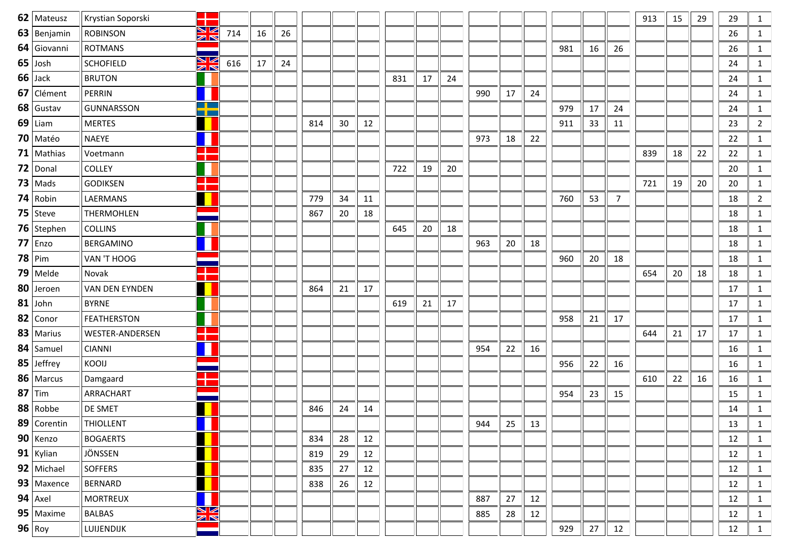| 62   Mateusz  | Krystian Soporski  |                    |     |    |    |     |    |    |     |    |    |     |    |    |     |    |        | 913 | 15 | 29 | 29 | 1              |
|---------------|--------------------|--------------------|-----|----|----|-----|----|----|-----|----|----|-----|----|----|-----|----|--------|-----|----|----|----|----------------|
| $63$ Benjamin | <b>ROBINSON</b>    | ↘ڻ<br>$\geq$       | 714 | 16 | 26 |     |    |    |     |    |    |     |    |    |     |    |        |     |    |    | 26 | $\mathbf{1}$   |
| 64 Giovanni   | <b>ROTMANS</b>     |                    |     |    |    |     |    |    |     |    |    |     |    |    | 981 | 16 | 26     |     |    |    | 26 | $\mathbf{1}$   |
| $65$ Josh     | <b>SCHOFIELD</b>   | N<br>M<br>M        | 616 | 17 | 24 |     |    |    |     |    |    |     |    |    |     |    |        |     |    |    | 24 | 1              |
| $66$ Jack     | <b>BRUTON</b>      |                    |     |    |    |     |    |    | 831 | 17 | 24 |     |    |    |     |    |        |     |    |    | 24 | $\mathbf{1}$   |
| 67 Clément    | <b>PERRIN</b>      |                    |     |    |    |     |    |    |     |    |    | 990 | 17 | 24 |     |    |        |     |    |    | 24 | 1              |
| 68 Gustav     | <b>GUNNARSSON</b>  | <u>a ba</u><br>n m |     |    |    |     |    |    |     |    |    |     |    |    | 979 | 17 | 24     |     |    |    | 24 | 1              |
| $69$ Liam     | <b>MERTES</b>      |                    |     |    |    | 814 | 30 | 12 |     |    |    |     |    |    | 911 | 33 | 11     |     |    |    | 23 | $\overline{2}$ |
| $70$ Matéo    | <b>NAEYE</b>       |                    |     |    |    |     |    |    |     |    |    | 973 | 18 | 22 |     |    |        |     |    |    | 22 | 1              |
| 71   Mathias  | Voetmann           |                    |     |    |    |     |    |    |     |    |    |     |    |    |     |    |        | 839 | 18 | 22 | 22 | 1              |
| $72$ Donal    | <b>COLLEY</b>      |                    |     |    |    |     |    |    | 722 | 19 | 20 |     |    |    |     |    |        |     |    |    | 20 | $\mathbf{1}$   |
| $73$ Mads     | <b>GODIKSEN</b>    | <b>CONTRACTOR</b>  |     |    |    |     |    |    |     |    |    |     |    |    |     |    |        | 721 | 19 | 20 | 20 | $\mathbf{1}$   |
| $74$ Robin    | LAERMANS           |                    |     |    |    | 779 | 34 | 11 |     |    |    |     |    |    | 760 | 53 | 7      |     |    |    | 18 | 2              |
| 75   Steve    | <b>THERMOHLEN</b>  |                    |     |    |    | 867 | 20 | 18 |     |    |    |     |    |    |     |    |        |     |    |    | 18 | $\mathbf{1}$   |
| 76   Stephen  | <b>COLLINS</b>     |                    |     |    |    |     |    |    | 645 | 20 | 18 |     |    |    |     |    |        |     |    |    | 18 | 1              |
| $77$ Enzo     | BERGAMINO          |                    |     |    |    |     |    |    |     |    |    | 963 | 20 | 18 |     |    |        |     |    |    | 18 | 1              |
| $78$ Pim      | VAN 'T HOOG        |                    |     |    |    |     |    |    |     |    |    |     |    |    | 960 | 20 | 18     |     |    |    | 18 | $\mathbf{1}$   |
| $79$ Melde    | Novak              |                    |     |    |    |     |    |    |     |    |    |     |    |    |     |    |        | 654 | 20 | 18 | 18 | 1              |
| 80 Jeroen     | VAN DEN EYNDEN     |                    |     |    |    | 864 | 21 | 17 |     |    |    |     |    |    |     |    |        |     |    |    | 17 | 1              |
| $81$ John     | <b>BYRNE</b>       |                    |     |    |    |     |    |    | 619 | 21 | 17 |     |    |    |     |    |        |     |    |    | 17 | $\mathbf{1}$   |
| 82 Conor      | <b>FEATHERSTON</b> |                    |     |    |    |     |    |    |     |    |    |     |    |    | 958 | 21 | 17     |     |    |    | 17 | 1              |
| 83   Marius   | WESTER-ANDERSEN    |                    |     |    |    |     |    |    |     |    |    |     |    |    |     |    |        | 644 | 21 | 17 | 17 | 1              |
| 84   Samuel   | <b>CIANNI</b>      |                    |     |    |    |     |    |    |     |    |    | 954 | 22 | 16 |     |    |        |     |    |    | 16 | $\mathbf{1}$   |
| $85$ Jeffrey  | KOOIJ              |                    |     |    |    |     |    |    |     |    |    |     |    |    | 956 | 22 | 16     |     |    |    | 16 | 1              |
| 86   Marcus   | Damgaard           |                    |     |    |    |     |    |    |     |    |    |     |    |    |     |    |        | 610 | 22 | 16 | 16 | 1              |
| $87$ Tim      | ARRACHART          |                    |     |    |    |     |    |    |     |    |    |     |    |    | 954 | 23 | 15     |     |    |    | 15 | $\mathbf{1}$   |
| 88 Robbe      | DE SMET            |                    |     |    |    | 846 | 24 | 14 |     |    |    |     |    |    |     |    |        |     |    |    | 14 | $\mathbf{1}$   |
| 89   Corentin | <b>THIOLLENT</b>   |                    |     |    |    |     |    |    |     |    |    | 944 | 25 | 13 |     |    |        |     |    |    | 13 | $\mathbf{1}$   |
| $90$ Kenzo    | <b>BOGAERTS</b>    |                    |     |    |    | 834 | 28 | 12 |     |    |    |     |    |    |     |    |        |     |    |    | 12 | 1              |
| 91   Kylian   | JÖNSSEN            |                    |     |    |    | 819 | 29 | 12 |     |    |    |     |    |    |     |    |        |     |    |    | 12 | 1              |
| 92 Michael    | <b>SOFFERS</b>     |                    |     |    |    | 835 | 27 | 12 |     |    |    |     |    |    |     |    |        |     |    |    | 12 | 1              |
| 93   Maxence  | BERNARD            |                    |     |    |    | 838 | 26 | 12 |     |    |    |     |    |    |     |    |        |     |    |    | 12 | 1              |
| $94$ Axel     | <b>MORTREUX</b>    |                    |     |    |    |     |    |    |     |    |    | 887 | 27 | 12 |     |    |        |     |    |    | 12 | 1              |
| $95$ Maxime   | <b>BALBAS</b>      | N K<br>71 N        |     |    |    |     |    |    |     |    |    | 885 | 28 | 12 |     |    |        |     |    |    | 12 | 1              |
| 96 Roy        | LUIJENDIJK         |                    |     |    |    |     |    |    |     |    |    |     |    |    | 929 | 27 | $12\,$ |     |    |    | 12 | $\mathbf{1}$   |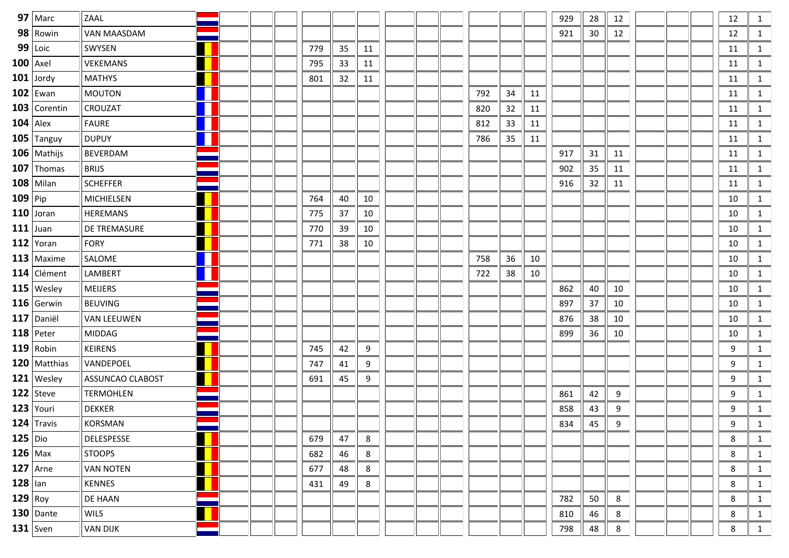|           | $97$ Marc       | ZAAL                |   |  |     |    |    |  |     |    |    | 929 | 28 | 12 |  | 12 | 1            |
|-----------|-----------------|---------------------|---|--|-----|----|----|--|-----|----|----|-----|----|----|--|----|--------------|
|           | 98 Rowin        | VAN MAASDAM         |   |  |     |    |    |  |     |    |    | 921 | 30 | 12 |  | 12 | 1            |
|           | 99 Loic         | SWYSEN              |   |  | 779 | 35 | 11 |  |     |    |    |     |    |    |  | 11 | 1            |
|           | $100$ Axel      | VEKEMANS            |   |  | 795 | 33 | 11 |  |     |    |    |     |    |    |  | 11 | 1            |
|           | $101$ Jordy     | <b>MATHYS</b>       |   |  | 801 | 32 | 11 |  |     |    |    |     |    |    |  | 11 | 1            |
|           | $102$ Ewan      | MOUTON              |   |  |     |    |    |  | 792 | 34 | 11 |     |    |    |  | 11 | 1            |
|           | 103 Corentin    | <b>CROUZAT</b>      | L |  |     |    |    |  | 820 | 32 | 11 |     |    |    |  | 11 | 1            |
|           | $104$ Alex      | <b>FAURE</b>        |   |  |     |    |    |  | 812 | 33 | 11 |     |    |    |  | 11 | 1            |
|           | $105$ Tanguy    | <b>DUPUY</b>        | L |  |     |    |    |  | 786 | 35 | 11 |     |    |    |  | 11 | 1            |
|           | $106$   Mathijs | <b>BEVERDAM</b>     |   |  |     |    |    |  |     |    |    | 917 | 31 | 11 |  | 11 | 1            |
|           | $107$ Thomas    | <b>BRIJS</b>        |   |  |     |    |    |  |     |    |    | 902 | 35 | 11 |  | 11 | 1            |
|           | $108$ Milan     | <b>SCHEFFER</b>     |   |  |     |    |    |  |     |    |    | 916 | 32 | 11 |  | 11 | 1            |
| $109$ Pip |                 | MICHIELSEN          |   |  | 764 | 40 | 10 |  |     |    |    |     |    |    |  | 10 | 1            |
|           | $110$ Joran     | <b>HEREMANS</b>     |   |  | 775 | 37 | 10 |  |     |    |    |     |    |    |  | 10 | 1            |
|           | $111$ Juan      | <b>DE TREMASURE</b> |   |  | 770 | 39 | 10 |  |     |    |    |     |    |    |  | 10 | 1            |
|           | 112 Yoran       | FORY                |   |  | 771 | 38 | 10 |  |     |    |    |     |    |    |  | 10 | 1            |
|           | $113$ Maxime    | <b>SALOME</b>       |   |  |     |    |    |  | 758 | 36 | 10 |     |    |    |  | 10 | 1            |
|           | 114 Clément     | LAMBERT             | L |  |     |    |    |  | 722 | 38 | 10 |     |    |    |  | 10 | 1            |
|           | $115$   Wesley  | MEIJERS             |   |  |     |    |    |  |     |    |    | 862 | 40 | 10 |  | 10 | 1            |
|           | $116$ Gerwin    | <b>BEUVING</b>      |   |  |     |    |    |  |     |    |    | 897 | 37 | 10 |  | 10 | 1            |
|           | $117$ Daniël    | <b>VAN LEEUWEN</b>  |   |  |     |    |    |  |     |    |    | 876 | 38 | 10 |  | 10 | 1            |
|           | $118$ Peter     | MIDDAG              |   |  |     |    |    |  |     |    |    | 899 | 36 | 10 |  | 10 | 1            |
|           | $119$ Robin     | <b>KEIRENS</b>      |   |  | 745 | 42 | 9  |  |     |    |    |     |    |    |  | 9  | 1            |
|           | $120$ Matthias  | VANDEPOEL           |   |  | 747 | 41 | 9  |  |     |    |    |     |    |    |  | 9  | 1            |
|           | $121$ Wesley    | ASSUNCAO CLABOST    |   |  | 691 | 45 | 9  |  |     |    |    |     |    |    |  | 9  | 1            |
|           | $122$   Steve   | <b>TERMOHLEN</b>    |   |  |     |    |    |  |     |    |    | 861 | 42 | 9  |  | 9  | 1            |
|           | $123$ Youri     | <b>DEKKER</b>       |   |  |     |    |    |  |     |    |    | 858 | 43 | 9  |  | 9  | 1            |
|           | $124$ Travis    | KORSMAN             |   |  |     |    |    |  |     |    |    | 834 | 45 | 9  |  | 9  | 1            |
|           | $125$ Dio       | DELESPESSE          |   |  | 679 | 47 | 8  |  |     |    |    |     |    |    |  | 8  | 1            |
|           | $126$ Max       | <b>STOOPS</b>       |   |  | 682 | 46 | 8  |  |     |    |    |     |    |    |  | 8  | 1            |
|           | $127$ Arne      | <b>VAN NOTEN</b>    |   |  | 677 | 48 | 8  |  |     |    |    |     |    |    |  | 8  | 1            |
| $128$ lan |                 | KENNES              |   |  | 431 | 49 | 8  |  |     |    |    |     |    |    |  | 8  | 1            |
|           | $129$ Roy       | DE HAAN             |   |  |     |    |    |  |     |    |    | 782 | 50 | 8  |  | 8  | 1            |
|           | $130$ Dante     | <b>WILS</b>         |   |  |     |    |    |  |     |    |    | 810 | 46 | 8  |  | 8  | 1            |
|           | $131$ Sven      | <b>VAN DIJK</b>     |   |  |     |    |    |  |     |    |    | 798 | 48 | 8  |  | 8  | $\mathbf{1}$ |